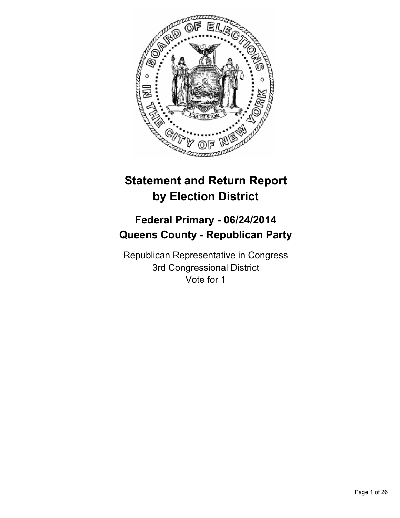

# **Statement and Return Report by Election District**

# **Federal Primary - 06/24/2014 Queens County - Republican Party**

Republican Representative in Congress 3rd Congressional District Vote for 1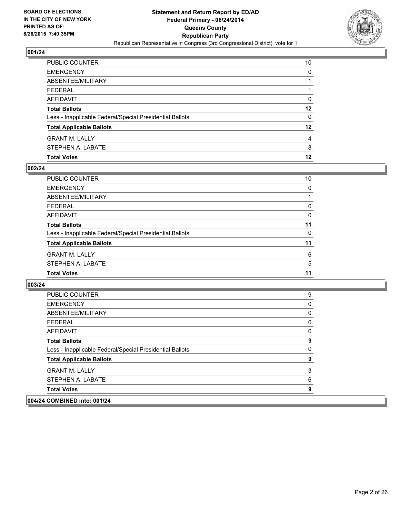

| <b>Total Votes</b>                                       | 12 |
|----------------------------------------------------------|----|
| STEPHEN A. LABATE                                        | 8  |
| <b>GRANT M. LALLY</b>                                    | 4  |
| <b>Total Applicable Ballots</b>                          | 12 |
| Less - Inapplicable Federal/Special Presidential Ballots | 0  |
| <b>Total Ballots</b>                                     | 12 |
| AFFIDAVIT                                                | 0  |
| <b>FEDERAL</b>                                           |    |
| <b>ABSENTEE/MILITARY</b>                                 |    |
| <b>EMERGENCY</b>                                         | 0  |
| PUBLIC COUNTER                                           | 10 |

## **002/24**

| PUBLIC COUNTER                                           | 10 |
|----------------------------------------------------------|----|
| <b>EMERGENCY</b>                                         | 0  |
| ABSENTEE/MILITARY                                        |    |
| <b>FEDERAL</b>                                           | 0  |
| <b>AFFIDAVIT</b>                                         | 0  |
| <b>Total Ballots</b>                                     | 11 |
| Less - Inapplicable Federal/Special Presidential Ballots | 0  |
| <b>Total Applicable Ballots</b>                          | 11 |
| <b>GRANT M. LALLY</b>                                    | 6  |
| STEPHEN A. LABATE                                        | 5  |
| <b>Total Votes</b>                                       | 11 |

| PUBLIC COUNTER                                           | 9        |
|----------------------------------------------------------|----------|
| <b>EMERGENCY</b>                                         | 0        |
| ABSENTEE/MILITARY                                        | 0        |
| <b>FEDERAL</b>                                           | 0        |
| AFFIDAVIT                                                | 0        |
| <b>Total Ballots</b>                                     | 9        |
| Less - Inapplicable Federal/Special Presidential Ballots | $\Omega$ |
| <b>Total Applicable Ballots</b>                          | 9        |
| <b>GRANT M. LALLY</b>                                    | 3        |
| STEPHEN A. LABATE                                        | 6        |
| <b>Total Votes</b>                                       | 9        |
| 004/24 COMBINED into: 001/24                             |          |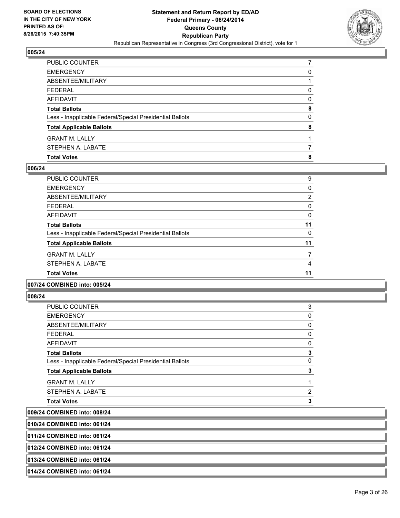

| PUBLIC COUNTER                                           |   |
|----------------------------------------------------------|---|
| <b>EMERGENCY</b>                                         | 0 |
| ABSENTEE/MILITARY                                        |   |
| <b>FEDERAL</b>                                           | 0 |
| <b>AFFIDAVIT</b>                                         | 0 |
| <b>Total Ballots</b>                                     | 8 |
| Less - Inapplicable Federal/Special Presidential Ballots | 0 |
| <b>Total Applicable Ballots</b>                          | 8 |
| <b>GRANT M. LALLY</b>                                    |   |
| STEPHEN A. LABATE                                        |   |
| <b>Total Votes</b>                                       | 8 |

#### **006/24**

| PUBLIC COUNTER                                           | 9              |
|----------------------------------------------------------|----------------|
| <b>EMERGENCY</b>                                         | 0              |
| ABSENTEE/MILITARY                                        | $\overline{2}$ |
| <b>FEDERAL</b>                                           | 0              |
| <b>AFFIDAVIT</b>                                         | 0              |
| <b>Total Ballots</b>                                     | 11             |
| Less - Inapplicable Federal/Special Presidential Ballots | 0              |
| <b>Total Applicable Ballots</b>                          | 11             |
| <b>GRANT M. LALLY</b>                                    | 7              |
| STEPHEN A. LABATE                                        | 4              |
| <b>Total Votes</b>                                       | 11             |
|                                                          |                |

#### **007/24 COMBINED into: 005/24**

#### **008/24**

| <b>PUBLIC COUNTER</b>                                    | 3 |
|----------------------------------------------------------|---|
| <b>EMERGENCY</b>                                         | 0 |
| ABSENTEE/MILITARY                                        | 0 |
| <b>FEDERAL</b>                                           | 0 |
| <b>AFFIDAVIT</b>                                         | 0 |
| <b>Total Ballots</b>                                     | 3 |
| Less - Inapplicable Federal/Special Presidential Ballots | 0 |
| <b>Total Applicable Ballots</b>                          | 3 |
| <b>GRANT M. LALLY</b>                                    | 1 |
| STEPHEN A. LABATE                                        | 2 |
| <b>Total Votes</b>                                       | 3 |
|                                                          |   |

**009/24 COMBINED into: 008/24**

**010/24 COMBINED into: 061/24**

**011/24 COMBINED into: 061/24**

**012/24 COMBINED into: 061/24**

**013/24 COMBINED into: 061/24**

#### **014/24 COMBINED into: 061/24**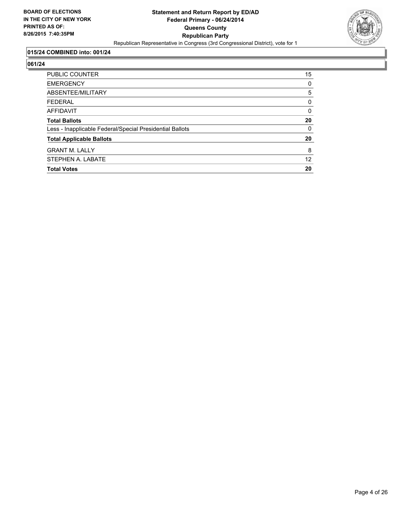

#### **015/24 COMBINED into: 001/24**

| <b>PUBLIC COUNTER</b>                                    | 15 |
|----------------------------------------------------------|----|
| <b>EMERGENCY</b>                                         | 0  |
| ABSENTEE/MILITARY                                        | 5  |
| <b>FEDERAL</b>                                           | 0  |
| AFFIDAVIT                                                | 0  |
| <b>Total Ballots</b>                                     | 20 |
| Less - Inapplicable Federal/Special Presidential Ballots | 0  |
| <b>Total Applicable Ballots</b>                          | 20 |
| <b>GRANT M. LALLY</b>                                    | 8  |
| STEPHEN A. LABATE                                        | 12 |
| <b>Total Votes</b>                                       | 20 |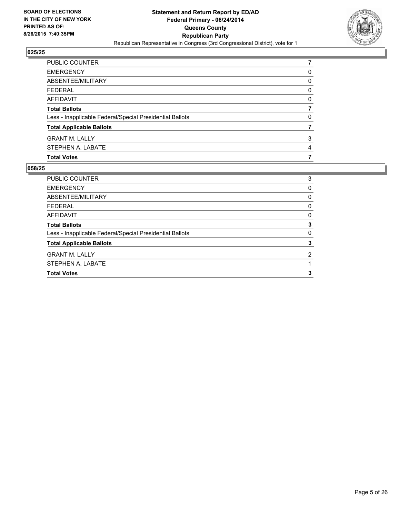

| PUBLIC COUNTER                                           |   |
|----------------------------------------------------------|---|
| <b>EMERGENCY</b>                                         | 0 |
| ABSENTEE/MILITARY                                        | 0 |
| <b>FEDERAL</b>                                           | 0 |
| <b>AFFIDAVIT</b>                                         | 0 |
| <b>Total Ballots</b>                                     | 7 |
| Less - Inapplicable Federal/Special Presidential Ballots | 0 |
| <b>Total Applicable Ballots</b>                          |   |
| <b>GRANT M. LALLY</b>                                    | 3 |
| STEPHEN A. LABATE                                        | 4 |
| <b>Total Votes</b>                                       | 7 |

| <b>PUBLIC COUNTER</b>                                    | 3 |
|----------------------------------------------------------|---|
| <b>EMERGENCY</b>                                         | 0 |
| ABSENTEE/MILITARY                                        | 0 |
| <b>FEDERAL</b>                                           | 0 |
| AFFIDAVIT                                                | 0 |
| <b>Total Ballots</b>                                     | 3 |
| Less - Inapplicable Federal/Special Presidential Ballots | 0 |
| <b>Total Applicable Ballots</b>                          | 3 |
| <b>GRANT M. LALLY</b>                                    | 2 |
| STEPHEN A. LABATE                                        |   |
| <b>Total Votes</b>                                       | 3 |
|                                                          |   |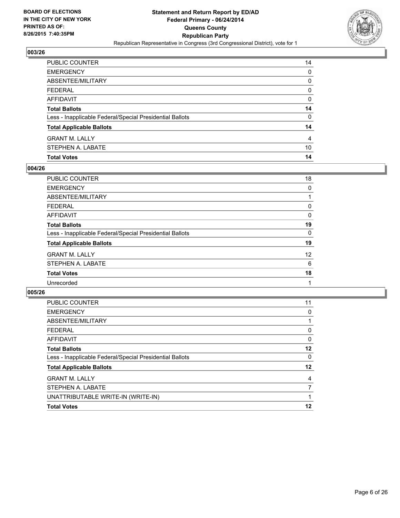

| PUBLIC COUNTER                                           | 14 |
|----------------------------------------------------------|----|
| <b>EMERGENCY</b>                                         | 0  |
| ABSENTEE/MILITARY                                        | 0  |
| <b>FEDERAL</b>                                           | 0  |
| AFFIDAVIT                                                | 0  |
| <b>Total Ballots</b>                                     | 14 |
| Less - Inapplicable Federal/Special Presidential Ballots | 0  |
| <b>Total Applicable Ballots</b>                          | 14 |
| <b>GRANT M. LALLY</b>                                    | 4  |
| STEPHEN A. LABATE                                        | 10 |
| <b>Total Votes</b>                                       | 14 |

## **004/26**

| 18 |
|----|
| 0  |
|    |
| 0  |
| 0  |
| 19 |
| 0  |
| 19 |
| 12 |
| 6  |
| 18 |
|    |
|    |

| 11 |
|----|
| 0  |
|    |
| 0  |
| 0  |
| 12 |
| 0  |
| 12 |
| 4  |
|    |
|    |
| 12 |
|    |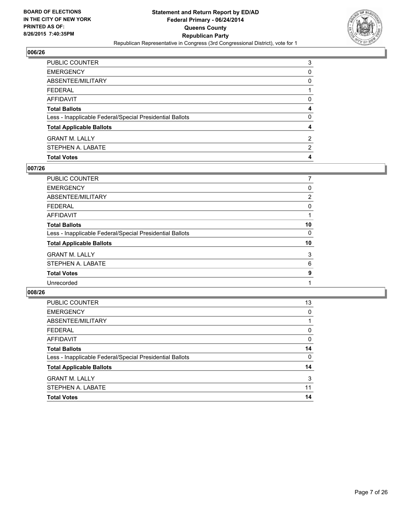

| PUBLIC COUNTER                                           | 3              |
|----------------------------------------------------------|----------------|
| <b>EMERGENCY</b>                                         | 0              |
| <b>ABSENTEE/MILITARY</b>                                 | 0              |
| <b>FEDERAL</b>                                           |                |
| AFFIDAVIT                                                | 0              |
| <b>Total Ballots</b>                                     | 4              |
| Less - Inapplicable Federal/Special Presidential Ballots | 0              |
| <b>Total Applicable Ballots</b>                          | 4              |
| <b>GRANT M. LALLY</b>                                    | $\overline{2}$ |
| STEPHEN A. LABATE                                        | $\overline{2}$ |
| <b>Total Votes</b>                                       | 4              |

## **007/26**

| <b>PUBLIC COUNTER</b>                                    | 7              |
|----------------------------------------------------------|----------------|
| <b>EMERGENCY</b>                                         | 0              |
| ABSENTEE/MILITARY                                        | $\overline{2}$ |
| <b>FEDERAL</b>                                           | 0              |
| AFFIDAVIT                                                |                |
| <b>Total Ballots</b>                                     | 10             |
| Less - Inapplicable Federal/Special Presidential Ballots | 0              |
| <b>Total Applicable Ballots</b>                          | 10             |
| <b>GRANT M. LALLY</b>                                    | 3              |
| STEPHEN A. LABATE                                        | 6              |
| <b>Total Votes</b>                                       | 9              |
| Unrecorded                                               |                |
|                                                          |                |

| <b>PUBLIC COUNTER</b>                                    | 13       |
|----------------------------------------------------------|----------|
| <b>EMERGENCY</b>                                         | 0        |
| ABSENTEE/MILITARY                                        |          |
| <b>FEDERAL</b>                                           | 0        |
| <b>AFFIDAVIT</b>                                         | $\Omega$ |
| <b>Total Ballots</b>                                     | 14       |
| Less - Inapplicable Federal/Special Presidential Ballots | 0        |
| <b>Total Applicable Ballots</b>                          | 14       |
| <b>GRANT M. LALLY</b>                                    | 3        |
| STEPHEN A. LABATE                                        | 11       |
| <b>Total Votes</b>                                       | 14       |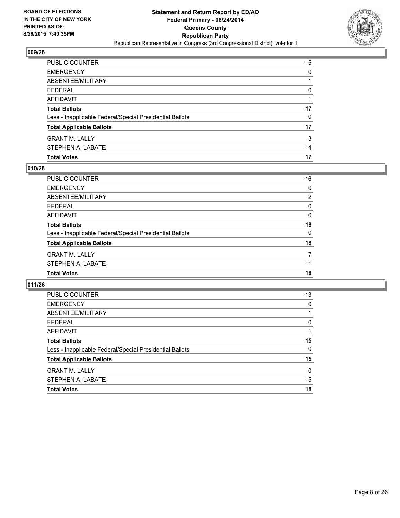

| PUBLIC COUNTER                                           | 15 |
|----------------------------------------------------------|----|
| <b>EMERGENCY</b>                                         | 0  |
| ABSENTEE/MILITARY                                        |    |
| <b>FEDERAL</b>                                           | 0  |
| <b>AFFIDAVIT</b>                                         |    |
| <b>Total Ballots</b>                                     | 17 |
| Less - Inapplicable Federal/Special Presidential Ballots | 0  |
| <b>Total Applicable Ballots</b>                          | 17 |
| <b>GRANT M. LALLY</b>                                    | 3  |
| STEPHEN A. LABATE                                        | 14 |
| <b>Total Votes</b>                                       | 17 |

## **010/26**

| PUBLIC COUNTER                                           | 16             |
|----------------------------------------------------------|----------------|
| <b>EMERGENCY</b>                                         | 0              |
| ABSENTEE/MILITARY                                        | $\overline{2}$ |
| <b>FEDERAL</b>                                           | 0              |
| <b>AFFIDAVIT</b>                                         | 0              |
| <b>Total Ballots</b>                                     | 18             |
| Less - Inapplicable Federal/Special Presidential Ballots | 0              |
| <b>Total Applicable Ballots</b>                          | 18             |
| <b>GRANT M. LALLY</b>                                    | 7              |
| STEPHEN A. LABATE                                        | 11             |
| <b>Total Votes</b>                                       | 18             |
|                                                          |                |

| PUBLIC COUNTER                                           | 13 |
|----------------------------------------------------------|----|
| <b>EMERGENCY</b>                                         | 0  |
| ABSENTEE/MILITARY                                        |    |
| <b>FEDERAL</b>                                           | 0  |
| AFFIDAVIT                                                | 1  |
| <b>Total Ballots</b>                                     | 15 |
| Less - Inapplicable Federal/Special Presidential Ballots | 0  |
| <b>Total Applicable Ballots</b>                          | 15 |
| <b>GRANT M. LALLY</b>                                    | 0  |
| STEPHEN A. LABATE                                        | 15 |
| <b>Total Votes</b>                                       | 15 |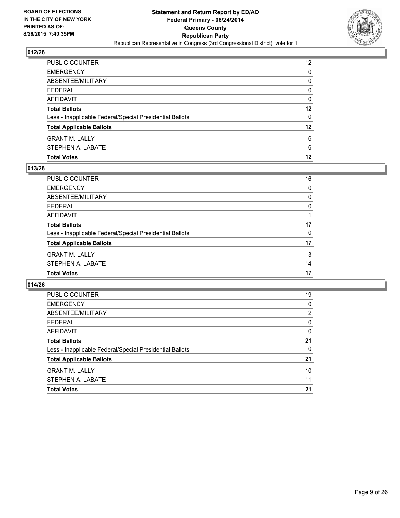

| PUBLIC COUNTER                                           | 12 <sup>2</sup> |
|----------------------------------------------------------|-----------------|
| <b>EMERGENCY</b>                                         | 0               |
| ABSENTEE/MILITARY                                        | 0               |
| <b>FEDERAL</b>                                           | 0               |
| AFFIDAVIT                                                | 0               |
| <b>Total Ballots</b>                                     | 12              |
| Less - Inapplicable Federal/Special Presidential Ballots | 0               |
| <b>Total Applicable Ballots</b>                          | 12              |
| <b>GRANT M. LALLY</b>                                    | 6               |
| STEPHEN A. LABATE                                        | 6               |
| <b>Total Votes</b>                                       | 12              |

## **013/26**

| PUBLIC COUNTER                                           | 16 |
|----------------------------------------------------------|----|
| <b>EMERGENCY</b>                                         | 0  |
| ABSENTEE/MILITARY                                        | 0  |
| <b>FEDERAL</b>                                           | 0  |
| <b>AFFIDAVIT</b>                                         |    |
| <b>Total Ballots</b>                                     | 17 |
| Less - Inapplicable Federal/Special Presidential Ballots | 0  |
| <b>Total Applicable Ballots</b>                          | 17 |
| <b>GRANT M. LALLY</b>                                    | 3  |
| STEPHEN A. LABATE                                        | 14 |
| <b>Total Votes</b>                                       | 17 |

| <b>PUBLIC COUNTER</b>                                    | 19             |
|----------------------------------------------------------|----------------|
| <b>EMERGENCY</b>                                         | 0              |
| ABSENTEE/MILITARY                                        | $\overline{2}$ |
| <b>FEDERAL</b>                                           | 0              |
| AFFIDAVIT                                                | 0              |
| <b>Total Ballots</b>                                     | 21             |
| Less - Inapplicable Federal/Special Presidential Ballots | 0              |
| <b>Total Applicable Ballots</b>                          | 21             |
| <b>GRANT M. LALLY</b>                                    | 10             |
| STEPHEN A. LABATE                                        | 11             |
| <b>Total Votes</b>                                       | 21             |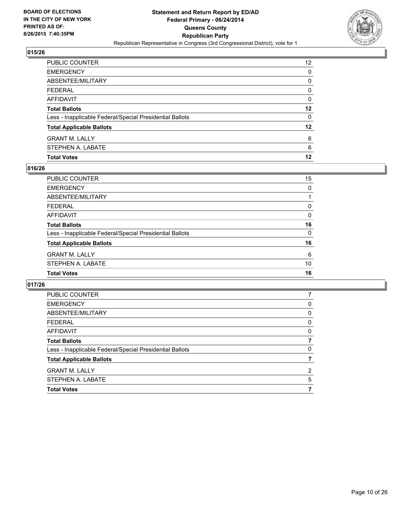

| <b>Total Votes</b>                                       | 12                |
|----------------------------------------------------------|-------------------|
| STEPHEN A. LABATE                                        | 6                 |
| <b>GRANT M. LALLY</b>                                    | 6                 |
| <b>Total Applicable Ballots</b>                          | 12                |
| Less - Inapplicable Federal/Special Presidential Ballots | 0                 |
| <b>Total Ballots</b>                                     | 12                |
| <b>AFFIDAVIT</b>                                         | 0                 |
| <b>FEDERAL</b>                                           | 0                 |
| ABSENTEE/MILITARY                                        | 0                 |
| <b>EMERGENCY</b>                                         | 0                 |
| PUBLIC COUNTER                                           | $12 \overline{ }$ |

## **016/26**

| PUBLIC COUNTER                                           | 15       |
|----------------------------------------------------------|----------|
| <b>EMERGENCY</b>                                         | 0        |
| <b>ABSENTEE/MILITARY</b>                                 |          |
| <b>FEDERAL</b>                                           | 0        |
| <b>AFFIDAVIT</b>                                         | 0        |
| <b>Total Ballots</b>                                     | 16       |
| Less - Inapplicable Federal/Special Presidential Ballots | $\Omega$ |
| <b>Total Applicable Ballots</b>                          | 16       |
| <b>GRANT M. LALLY</b>                                    | 6        |
| STEPHEN A. LABATE                                        | 10       |
| <b>Total Votes</b>                                       | 16       |

| <b>PUBLIC COUNTER</b>                                    |                |
|----------------------------------------------------------|----------------|
| <b>EMERGENCY</b>                                         | 0              |
| ABSENTEE/MILITARY                                        | 0              |
| <b>FEDERAL</b>                                           | 0              |
| AFFIDAVIT                                                | 0              |
| <b>Total Ballots</b>                                     | 7              |
| Less - Inapplicable Federal/Special Presidential Ballots | 0              |
| <b>Total Applicable Ballots</b>                          |                |
| <b>GRANT M. LALLY</b>                                    | $\overline{2}$ |
| STEPHEN A. LABATE                                        | 5              |
| <b>Total Votes</b>                                       |                |
|                                                          |                |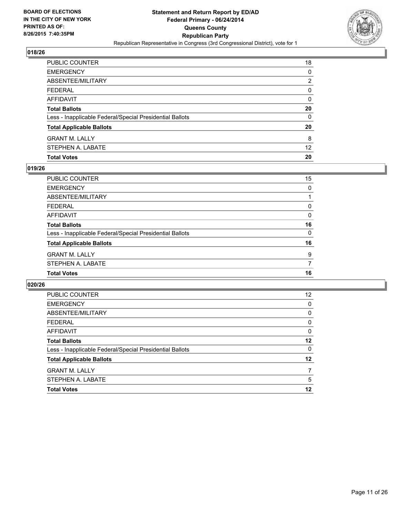

| PUBLIC COUNTER                                           | 18                |
|----------------------------------------------------------|-------------------|
| <b>EMERGENCY</b>                                         | 0                 |
| ABSENTEE/MILITARY                                        | 2                 |
| <b>FEDERAL</b>                                           | 0                 |
| AFFIDAVIT                                                | 0                 |
| <b>Total Ballots</b>                                     | 20                |
| Less - Inapplicable Federal/Special Presidential Ballots | $\Omega$          |
| <b>Total Applicable Ballots</b>                          | 20                |
| <b>GRANT M. LALLY</b>                                    | 8                 |
| STEPHEN A. LABATE                                        | $12 \overline{ }$ |
| <b>Total Votes</b>                                       | 20                |

## **019/26**

| PUBLIC COUNTER                                           | 15       |
|----------------------------------------------------------|----------|
| <b>EMERGENCY</b>                                         | 0        |
| <b>ABSENTEE/MILITARY</b>                                 |          |
| <b>FEDERAL</b>                                           | 0        |
| <b>AFFIDAVIT</b>                                         | 0        |
| <b>Total Ballots</b>                                     | 16       |
| Less - Inapplicable Federal/Special Presidential Ballots | $\Omega$ |
| <b>Total Applicable Ballots</b>                          | 16       |
| <b>GRANT M. LALLY</b>                                    | 9        |
| STEPHEN A. LABATE                                        | 7        |
| <b>Total Votes</b>                                       | 16       |
|                                                          |          |

| PUBLIC COUNTER                                           | 12       |
|----------------------------------------------------------|----------|
| <b>EMERGENCY</b>                                         | $\Omega$ |
| ABSENTEE/MILITARY                                        | 0        |
| <b>FEDERAL</b>                                           | 0        |
| AFFIDAVIT                                                | 0        |
| <b>Total Ballots</b>                                     | 12       |
| Less - Inapplicable Federal/Special Presidential Ballots | $\Omega$ |
| <b>Total Applicable Ballots</b>                          | $12 \,$  |
| <b>GRANT M. LALLY</b>                                    | 7        |
| STEPHEN A. LABATE                                        | 5        |
| <b>Total Votes</b>                                       | 12       |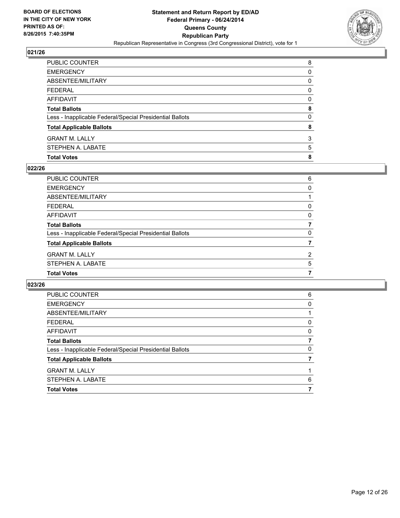

| PUBLIC COUNTER                                           | 8 |
|----------------------------------------------------------|---|
| EMERGENCY                                                | 0 |
| ABSENTEE/MILITARY                                        | 0 |
| FEDERAL                                                  | 0 |
| AFFIDAVIT                                                | 0 |
| <b>Total Ballots</b>                                     | 8 |
| Less - Inapplicable Federal/Special Presidential Ballots | 0 |
| <b>Total Applicable Ballots</b>                          | 8 |
| GRANT M. LALLY                                           | 3 |
| STEPHEN A. LABATE                                        | 5 |
| <b>Total Votes</b>                                       | 8 |

## **022/26**

| PUBLIC COUNTER                                           | 6              |
|----------------------------------------------------------|----------------|
| <b>EMERGENCY</b>                                         | 0              |
| ABSENTEE/MILITARY                                        |                |
| <b>FEDERAL</b>                                           | 0              |
| AFFIDAVIT                                                | 0              |
| <b>Total Ballots</b>                                     |                |
| Less - Inapplicable Federal/Special Presidential Ballots | 0              |
| <b>Total Applicable Ballots</b>                          |                |
| <b>GRANT M. LALLY</b>                                    | $\overline{2}$ |
| STEPHEN A. LABATE                                        | 5              |
| <b>Total Votes</b>                                       | 7              |

| PUBLIC COUNTER                                           | 6        |
|----------------------------------------------------------|----------|
| <b>EMERGENCY</b>                                         | 0        |
| ABSENTEE/MILITARY                                        |          |
| <b>FEDERAL</b>                                           | 0        |
| AFFIDAVIT                                                | 0        |
| <b>Total Ballots</b>                                     |          |
| Less - Inapplicable Federal/Special Presidential Ballots | $\Omega$ |
| <b>Total Applicable Ballots</b>                          |          |
| <b>GRANT M. LALLY</b>                                    |          |
| STEPHEN A. LABATE                                        | 6        |
| <b>Total Votes</b>                                       |          |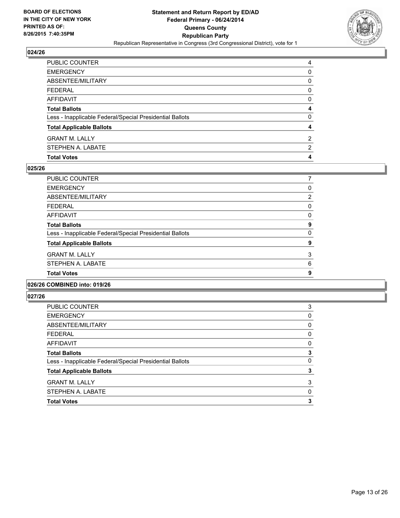

| <b>Total Votes</b>                                       | 4 |
|----------------------------------------------------------|---|
| STEPHEN A. LABATE                                        | 2 |
| <b>GRANT M. LALLY</b>                                    | 2 |
| <b>Total Applicable Ballots</b>                          | 4 |
| Less - Inapplicable Federal/Special Presidential Ballots | 0 |
| <b>Total Ballots</b>                                     | 4 |
| AFFIDAVIT                                                | 0 |
| <b>FEDERAL</b>                                           | 0 |
| <b>ABSENTEE/MILITARY</b>                                 | 0 |
| <b>EMERGENCY</b>                                         | 0 |
| PUBLIC COUNTER                                           | 4 |

## **025/26**

| PUBLIC COUNTER                                           |                |
|----------------------------------------------------------|----------------|
| <b>EMERGENCY</b>                                         | 0              |
| ABSENTEE/MILITARY                                        | $\overline{2}$ |
| <b>FEDERAL</b>                                           | 0              |
| <b>AFFIDAVIT</b>                                         | 0              |
| <b>Total Ballots</b>                                     | 9              |
| Less - Inapplicable Federal/Special Presidential Ballots | 0              |
| <b>Total Applicable Ballots</b>                          | 9              |
| <b>GRANT M. LALLY</b>                                    | 3              |
| STEPHEN A. LABATE                                        | 6              |
| <b>Total Votes</b>                                       | 9              |
|                                                          |                |

#### **026/26 COMBINED into: 019/26**

| <b>PUBLIC COUNTER</b>                                    | 3 |
|----------------------------------------------------------|---|
| <b>EMERGENCY</b>                                         | 0 |
| ABSENTEE/MILITARY                                        | 0 |
| FEDERAL                                                  | 0 |
| AFFIDAVIT                                                | 0 |
| <b>Total Ballots</b>                                     | 3 |
| Less - Inapplicable Federal/Special Presidential Ballots | 0 |
| <b>Total Applicable Ballots</b>                          | 3 |
| <b>GRANT M. LALLY</b>                                    | 3 |
| STEPHEN A. LABATE                                        | 0 |
| <b>Total Votes</b>                                       | 3 |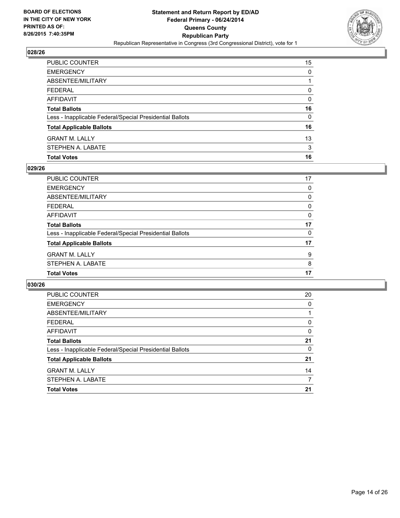

| PUBLIC COUNTER                                           | 15 |
|----------------------------------------------------------|----|
| <b>EMERGENCY</b>                                         | 0  |
| ABSENTEE/MILITARY                                        |    |
| <b>FEDERAL</b>                                           | 0  |
| AFFIDAVIT                                                | 0  |
| <b>Total Ballots</b>                                     | 16 |
| Less - Inapplicable Federal/Special Presidential Ballots | 0  |
| <b>Total Applicable Ballots</b>                          | 16 |
| <b>GRANT M. LALLY</b>                                    | 13 |
| STEPHEN A. LABATE                                        | 3  |
| <b>Total Votes</b>                                       | 16 |

## **029/26**

| PUBLIC COUNTER                                           | 17 |
|----------------------------------------------------------|----|
| <b>EMERGENCY</b>                                         | 0  |
| ABSENTEE/MILITARY                                        | 0  |
| <b>FEDERAL</b>                                           | 0  |
| <b>AFFIDAVIT</b>                                         | 0  |
| <b>Total Ballots</b>                                     | 17 |
| Less - Inapplicable Federal/Special Presidential Ballots | 0  |
| <b>Total Applicable Ballots</b>                          | 17 |
| <b>GRANT M. LALLY</b>                                    | 9  |
| STEPHEN A. LABATE                                        | 8  |
| <b>Total Votes</b>                                       | 17 |

| PUBLIC COUNTER                                           | 20 |
|----------------------------------------------------------|----|
| <b>EMERGENCY</b>                                         | 0  |
| ABSENTEE/MILITARY                                        |    |
| <b>FEDERAL</b>                                           | 0  |
| AFFIDAVIT                                                | 0  |
| <b>Total Ballots</b>                                     | 21 |
| Less - Inapplicable Federal/Special Presidential Ballots | 0  |
| <b>Total Applicable Ballots</b>                          | 21 |
| <b>GRANT M. LALLY</b>                                    | 14 |
| STEPHEN A. LABATE                                        | 7  |
| <b>Total Votes</b>                                       | 21 |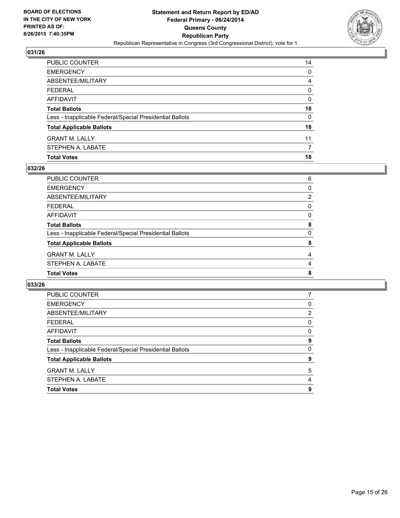

| PUBLIC COUNTER                                           | 14 |
|----------------------------------------------------------|----|
| <b>EMERGENCY</b>                                         | 0  |
| <b>ABSENTEE/MILITARY</b>                                 | 4  |
| <b>FEDERAL</b>                                           | 0  |
| AFFIDAVIT                                                | 0  |
| <b>Total Ballots</b>                                     | 18 |
| Less - Inapplicable Federal/Special Presidential Ballots | 0  |
| <b>Total Applicable Ballots</b>                          | 18 |
| <b>GRANT M. LALLY</b>                                    | 11 |
| STEPHEN A. LABATE                                        |    |
| <b>Total Votes</b>                                       | 18 |

## **032/26**

| PUBLIC COUNTER                                           | 6              |
|----------------------------------------------------------|----------------|
| <b>EMERGENCY</b>                                         | 0              |
| ABSENTEE/MILITARY                                        | $\overline{2}$ |
| <b>FEDERAL</b>                                           | 0              |
| <b>AFFIDAVIT</b>                                         | 0              |
| <b>Total Ballots</b>                                     | 8              |
| Less - Inapplicable Federal/Special Presidential Ballots | 0              |
| <b>Total Applicable Ballots</b>                          | 8              |
| <b>GRANT M. LALLY</b>                                    | 4              |
| STEPHEN A. LABATE                                        | 4              |
| <b>Total Votes</b>                                       | 8              |

| <b>PUBLIC COUNTER</b>                                    |                |
|----------------------------------------------------------|----------------|
| <b>EMERGENCY</b>                                         | 0              |
| ABSENTEE/MILITARY                                        | $\overline{2}$ |
| <b>FEDERAL</b>                                           | 0              |
| AFFIDAVIT                                                | 0              |
| <b>Total Ballots</b>                                     | 9              |
| Less - Inapplicable Federal/Special Presidential Ballots | 0              |
| <b>Total Applicable Ballots</b>                          | 9              |
| <b>GRANT M. LALLY</b>                                    | 5              |
| STEPHEN A. LABATE                                        | 4              |
| <b>Total Votes</b>                                       | 9              |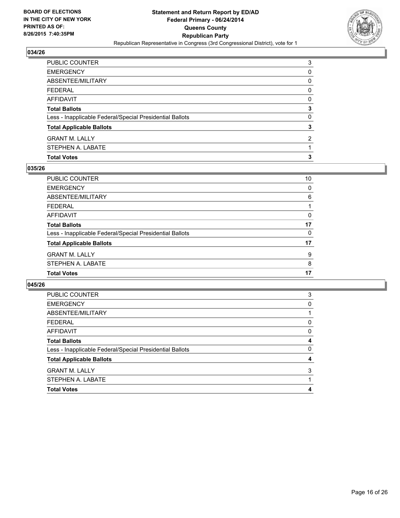

| PUBLIC COUNTER                                           | 3              |
|----------------------------------------------------------|----------------|
| EMERGENCY                                                | 0              |
| ABSENTEE/MILITARY                                        | 0              |
| FEDERAL                                                  | $\mathbf{0}$   |
| AFFIDAVIT                                                | 0              |
| <b>Total Ballots</b>                                     | 3              |
| Less - Inapplicable Federal/Special Presidential Ballots | 0              |
| <b>Total Applicable Ballots</b>                          | 3              |
| <b>GRANT M. LALLY</b>                                    | $\overline{2}$ |
| STEPHEN A. LABATE                                        |                |
| <b>Total Votes</b>                                       | 3              |

## **035/26**

| PUBLIC COUNTER                                           | 10 |
|----------------------------------------------------------|----|
| <b>EMERGENCY</b>                                         | 0  |
| ABSENTEE/MILITARY                                        | 6  |
| <b>FEDERAL</b>                                           | 1  |
| <b>AFFIDAVIT</b>                                         | 0  |
| <b>Total Ballots</b>                                     | 17 |
| Less - Inapplicable Federal/Special Presidential Ballots | 0  |
| <b>Total Applicable Ballots</b>                          | 17 |
| <b>GRANT M. LALLY</b>                                    | 9  |
| STEPHEN A. LABATE                                        | 8  |
| <b>Total Votes</b>                                       | 17 |

| <b>Total Applicable Ballots</b>                                                  | 4      |
|----------------------------------------------------------------------------------|--------|
|                                                                                  |        |
| <b>Total Ballots</b><br>Less - Inapplicable Federal/Special Presidential Ballots | 4<br>0 |
| AFFIDAVIT                                                                        | 0      |
| <b>FEDERAL</b>                                                                   | 0      |
| ABSENTEE/MILITARY                                                                |        |
| <b>EMERGENCY</b>                                                                 | 0      |
| PUBLIC COUNTER                                                                   | 3      |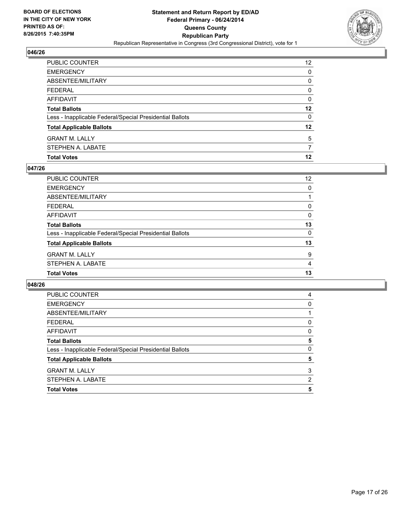

| STEPHEN A. LABATE                                        |    |
|----------------------------------------------------------|----|
| <b>GRANT M. LALLY</b>                                    | 5  |
| <b>Total Applicable Ballots</b>                          | 12 |
| Less - Inapplicable Federal/Special Presidential Ballots | 0  |
| <b>Total Ballots</b>                                     | 12 |
| AFFIDAVIT                                                | 0  |
| <b>FEDERAL</b>                                           | 0  |
| <b>ABSENTEE/MILITARY</b>                                 | 0  |
| <b>EMERGENCY</b>                                         | 0  |
| PUBLIC COUNTER                                           | 12 |

## **047/26**

| PUBLIC COUNTER                                           | $12 \overline{ }$ |
|----------------------------------------------------------|-------------------|
| <b>EMERGENCY</b>                                         | 0                 |
| ABSENTEE/MILITARY                                        |                   |
| <b>FEDERAL</b>                                           | 0                 |
| <b>AFFIDAVIT</b>                                         | 0                 |
| <b>Total Ballots</b>                                     | 13                |
| Less - Inapplicable Federal/Special Presidential Ballots | 0                 |
| <b>Total Applicable Ballots</b>                          | 13                |
| <b>GRANT M. LALLY</b>                                    | 9                 |
| STEPHEN A. LABATE                                        | 4                 |
| <b>Total Votes</b>                                       | 13                |

| <b>PUBLIC COUNTER</b>                                    | 4        |
|----------------------------------------------------------|----------|
| <b>EMERGENCY</b>                                         | 0        |
| ABSENTEE/MILITARY                                        |          |
| <b>FEDERAL</b>                                           | 0        |
| AFFIDAVIT                                                | 0        |
| <b>Total Ballots</b>                                     | 5        |
| Less - Inapplicable Federal/Special Presidential Ballots | $\Omega$ |
| <b>Total Applicable Ballots</b>                          | 5        |
| <b>GRANT M. LALLY</b>                                    | 3        |
| STEPHEN A. LABATE                                        | 2        |
| <b>Total Votes</b>                                       | 5        |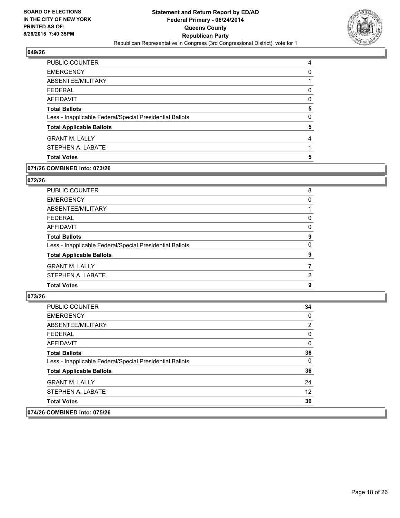

| PUBLIC COUNTER                                           | 4 |
|----------------------------------------------------------|---|
| <b>EMERGENCY</b>                                         | 0 |
| ABSENTEE/MILITARY                                        |   |
| <b>FEDERAL</b>                                           | 0 |
| AFFIDAVIT                                                | 0 |
| <b>Total Ballots</b>                                     | 5 |
| Less - Inapplicable Federal/Special Presidential Ballots | 0 |
| <b>Total Applicable Ballots</b>                          | 5 |
| <b>GRANT M. LALLY</b>                                    | 4 |
| STEPHEN A. LABATE                                        |   |
| <b>Total Votes</b>                                       | 5 |

#### **071/26 COMBINED into: 073/26**

#### **072/26**

| PUBLIC COUNTER                                           | 8        |
|----------------------------------------------------------|----------|
| <b>EMERGENCY</b>                                         | 0        |
| ABSENTEE/MILITARY                                        |          |
| <b>FEDERAL</b>                                           | 0        |
| <b>AFFIDAVIT</b>                                         | 0        |
| <b>Total Ballots</b>                                     | 9        |
| Less - Inapplicable Federal/Special Presidential Ballots | $\Omega$ |
| <b>Total Applicable Ballots</b>                          | 9        |
| <b>GRANT M. LALLY</b>                                    | 7        |
| STEPHEN A. LABATE                                        | 2        |
| <b>Total Votes</b>                                       | 9        |
|                                                          |          |

#### **073/26**

| <b>PUBLIC COUNTER</b>                                    | 34             |
|----------------------------------------------------------|----------------|
| <b>EMERGENCY</b>                                         | 0              |
| ABSENTEE/MILITARY                                        | $\overline{2}$ |
| <b>FEDERAL</b>                                           | 0              |
| <b>AFFIDAVIT</b>                                         | 0              |
| <b>Total Ballots</b>                                     | 36             |
| Less - Inapplicable Federal/Special Presidential Ballots | 0              |
| <b>Total Applicable Ballots</b>                          | 36             |
| <b>GRANT M. LALLY</b>                                    | 24             |
| STEPHEN A. LABATE                                        | 12             |
| <b>Total Votes</b>                                       | 36             |
| A                                                        |                |

#### **074/26 COMBINED into: 075/26**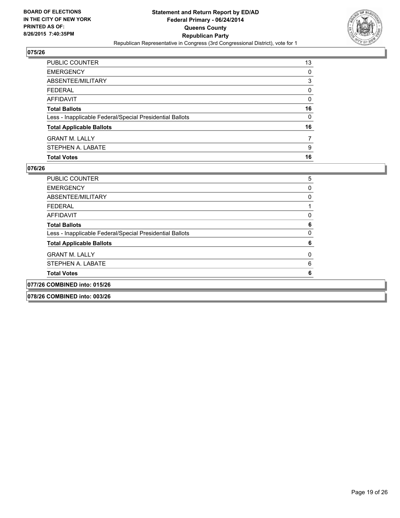

| <b>Total Votes</b>                                       | 16 |
|----------------------------------------------------------|----|
| STEPHEN A. LABATE                                        | 9  |
| <b>GRANT M. LALLY</b>                                    |    |
| <b>Total Applicable Ballots</b>                          | 16 |
| Less - Inapplicable Federal/Special Presidential Ballots | 0  |
| <b>Total Ballots</b>                                     | 16 |
| AFFIDAVIT                                                | 0  |
| <b>FEDERAL</b>                                           | 0  |
| ABSENTEE/MILITARY                                        | 3  |
| <b>EMERGENCY</b>                                         | 0  |
| PUBLIC COUNTER                                           | 13 |

| <b>PUBLIC COUNTER</b>                                    | 5 |
|----------------------------------------------------------|---|
| <b>EMERGENCY</b>                                         |   |
| ABSENTEE/MILITARY                                        |   |
| <b>FEDERAL</b>                                           |   |
| AFFIDAVIT                                                |   |
| <b>Total Ballots</b>                                     | 6 |
| Less - Inapplicable Federal/Special Presidential Ballots |   |
| <b>Total Applicable Ballots</b>                          | 6 |
| <b>GRANT M. LALLY</b>                                    |   |
| STEPHEN A. LABATE                                        | 6 |
| <b>Total Votes</b>                                       |   |
| 077/26 COMBINED into: 015/26                             |   |
| 078/26 COMBINED into: 003/26                             |   |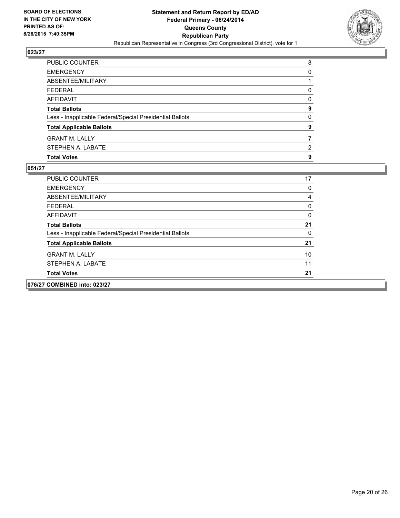

| <b>EMERGENCY</b><br>ABSENTEE/MILITARY                    | 0 |
|----------------------------------------------------------|---|
| <b>FEDERAL</b>                                           | 0 |
| AFFIDAVIT                                                | 0 |
| <b>Total Ballots</b>                                     | 9 |
| Less - Inapplicable Federal/Special Presidential Ballots | 0 |
| <b>Total Applicable Ballots</b>                          | 9 |
| <b>GRANT M. LALLY</b>                                    |   |
| STEPHEN A. LABATE                                        | 2 |
| <b>Total Votes</b>                                       | 9 |

| 076/27 COMBINED into: 023/27                             |    |
|----------------------------------------------------------|----|
| <b>Total Votes</b>                                       | 21 |
| STEPHEN A. LABATE                                        | 11 |
| <b>GRANT M. LALLY</b>                                    | 10 |
| <b>Total Applicable Ballots</b>                          | 21 |
| Less - Inapplicable Federal/Special Presidential Ballots | 0  |
| <b>Total Ballots</b>                                     | 21 |
| AFFIDAVIT                                                | 0  |
| <b>FEDERAL</b>                                           | 0  |
| ABSENTEE/MILITARY                                        | 4  |
| <b>EMERGENCY</b>                                         | 0  |
| <b>PUBLIC COUNTER</b>                                    | 17 |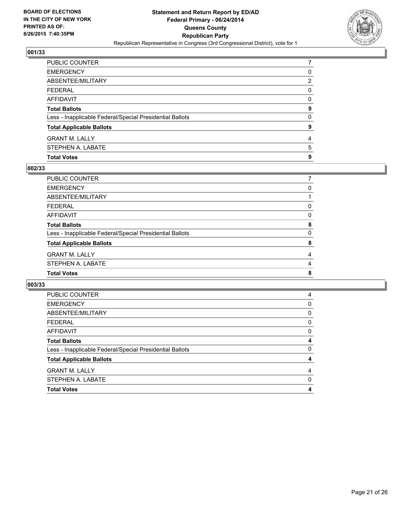

| PUBLIC COUNTER                                           |   |
|----------------------------------------------------------|---|
| EMERGENCY                                                | 0 |
| ABSENTEE/MILITARY                                        | 2 |
| FEDERAL                                                  | 0 |
| AFFIDAVIT                                                | 0 |
| <b>Total Ballots</b>                                     | 9 |
| Less - Inapplicable Federal/Special Presidential Ballots | 0 |
| <b>Total Applicable Ballots</b>                          | 9 |
| <b>GRANT M. LALLY</b>                                    | 4 |
| STEPHEN A. LABATE                                        | 5 |
| <b>Total Votes</b>                                       | 9 |

## **002/33**

| PUBLIC COUNTER                                           |   |
|----------------------------------------------------------|---|
| <b>EMERGENCY</b>                                         | 0 |
| ABSENTEE/MILITARY                                        |   |
| <b>FEDERAL</b>                                           | 0 |
| AFFIDAVIT                                                | 0 |
| <b>Total Ballots</b>                                     | 8 |
| Less - Inapplicable Federal/Special Presidential Ballots | 0 |
| <b>Total Applicable Ballots</b>                          | 8 |
| <b>GRANT M. LALLY</b>                                    | 4 |
| STEPHEN A. LABATE                                        | 4 |
| <b>Total Votes</b>                                       | 8 |

| <b>PUBLIC COUNTER</b>                                    | 4        |
|----------------------------------------------------------|----------|
| <b>EMERGENCY</b>                                         | 0        |
| ABSENTEE/MILITARY                                        | 0        |
| <b>FEDERAL</b>                                           | 0        |
| AFFIDAVIT                                                | 0        |
| <b>Total Ballots</b>                                     | 4        |
| Less - Inapplicable Federal/Special Presidential Ballots | $\Omega$ |
| <b>Total Applicable Ballots</b>                          | 4        |
| <b>GRANT M. LALLY</b>                                    | 4        |
| STEPHEN A. LABATE                                        | 0        |
| <b>Total Votes</b>                                       | 4        |
|                                                          |          |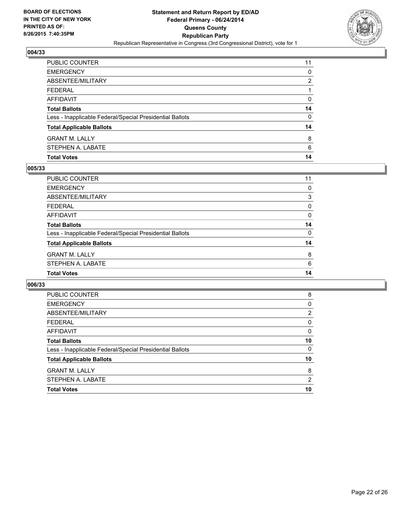

| PUBLIC COUNTER                                           | 11 |
|----------------------------------------------------------|----|
| <b>EMERGENCY</b>                                         | 0  |
| ABSENTEE/MILITARY                                        | 2  |
| <b>FEDERAL</b>                                           |    |
| AFFIDAVIT                                                | 0  |
| <b>Total Ballots</b>                                     | 14 |
| Less - Inapplicable Federal/Special Presidential Ballots | 0  |
| <b>Total Applicable Ballots</b>                          | 14 |
| <b>GRANT M. LALLY</b>                                    | 8  |
| STEPHEN A. LABATE                                        | 6  |
| <b>Total Votes</b>                                       | 14 |

## **005/33**

| PUBLIC COUNTER                                           | 11 |
|----------------------------------------------------------|----|
| <b>EMERGENCY</b>                                         | 0  |
| ABSENTEE/MILITARY                                        | 3  |
| <b>FEDERAL</b>                                           | 0  |
| <b>AFFIDAVIT</b>                                         | 0  |
| <b>Total Ballots</b>                                     | 14 |
| Less - Inapplicable Federal/Special Presidential Ballots | 0  |
| <b>Total Applicable Ballots</b>                          | 14 |
| <b>GRANT M. LALLY</b>                                    | 8  |
| STEPHEN A. LABATE                                        | 6  |
| <b>Total Votes</b>                                       | 14 |

| PUBLIC COUNTER                                           | 8  |
|----------------------------------------------------------|----|
| <b>EMERGENCY</b>                                         | 0  |
| ABSENTEE/MILITARY                                        | 2  |
| <b>FEDERAL</b>                                           | 0  |
| AFFIDAVIT                                                | 0  |
| <b>Total Ballots</b>                                     | 10 |
| Less - Inapplicable Federal/Special Presidential Ballots | 0  |
| <b>Total Applicable Ballots</b>                          | 10 |
| <b>GRANT M. LALLY</b>                                    | 8  |
| STEPHEN A. LABATE                                        | 2  |
| <b>Total Votes</b>                                       | 10 |
|                                                          |    |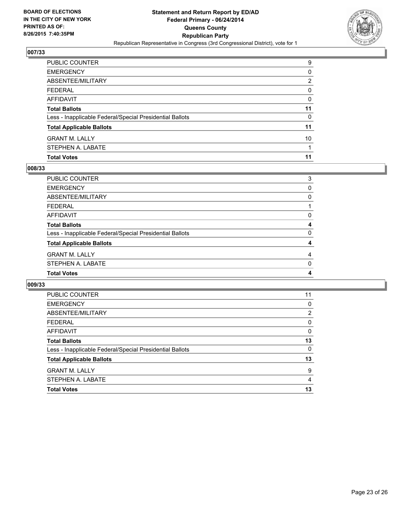

| <b>Total Votes</b>                                       | 11 |
|----------------------------------------------------------|----|
| STEPHEN A. LABATE                                        |    |
| <b>GRANT M. LALLY</b>                                    | 10 |
| <b>Total Applicable Ballots</b>                          | 11 |
| Less - Inapplicable Federal/Special Presidential Ballots | 0  |
| <b>Total Ballots</b>                                     | 11 |
| AFFIDAVIT                                                | 0  |
| <b>FEDERAL</b>                                           | 0  |
| ABSENTEE/MILITARY                                        | 2  |
| <b>EMERGENCY</b>                                         | 0  |
| PUBLIC COUNTER                                           | 9  |

## **008/33**

| PUBLIC COUNTER                                           | 3 |
|----------------------------------------------------------|---|
| <b>EMERGENCY</b>                                         | 0 |
| ABSENTEE/MILITARY                                        | 0 |
| <b>FEDERAL</b>                                           |   |
| <b>AFFIDAVIT</b>                                         | 0 |
| <b>Total Ballots</b>                                     | 4 |
| Less - Inapplicable Federal/Special Presidential Ballots | 0 |
| <b>Total Applicable Ballots</b>                          | 4 |
| <b>GRANT M. LALLY</b>                                    | 4 |
| STEPHEN A. LABATE                                        | 0 |
| <b>Total Votes</b>                                       | 4 |

| <b>PUBLIC COUNTER</b>                                    | 11             |
|----------------------------------------------------------|----------------|
| <b>EMERGENCY</b>                                         | 0              |
| ABSENTEE/MILITARY                                        | $\overline{2}$ |
| <b>FEDERAL</b>                                           | 0              |
| AFFIDAVIT                                                | 0              |
| <b>Total Ballots</b>                                     | 13             |
| Less - Inapplicable Federal/Special Presidential Ballots | $\Omega$       |
| <b>Total Applicable Ballots</b>                          | 13             |
| <b>GRANT M. LALLY</b>                                    | 9              |
| STEPHEN A. LABATE                                        | 4              |
| <b>Total Votes</b>                                       | 13             |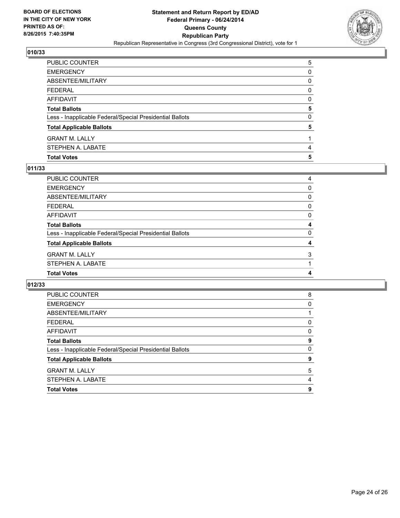

| PUBLIC COUNTER                                           | 5 |
|----------------------------------------------------------|---|
| <b>EMERGENCY</b>                                         | 0 |
| <b>ABSENTEE/MILITARY</b>                                 | 0 |
| <b>FEDERAL</b>                                           | 0 |
| AFFIDAVIT                                                | 0 |
| <b>Total Ballots</b>                                     | 5 |
| Less - Inapplicable Federal/Special Presidential Ballots | 0 |
| <b>Total Applicable Ballots</b>                          | 5 |
| <b>GRANT M. LALLY</b>                                    |   |
| STEPHEN A. LABATE                                        | 4 |
| <b>Total Votes</b>                                       | 5 |

## **011/33**

| PUBLIC COUNTER                                           | 4        |
|----------------------------------------------------------|----------|
| <b>EMERGENCY</b>                                         | 0        |
| ABSENTEE/MILITARY                                        | 0        |
| <b>FEDERAL</b>                                           | 0        |
| AFFIDAVIT                                                | $\Omega$ |
| <b>Total Ballots</b>                                     | 4        |
| Less - Inapplicable Federal/Special Presidential Ballots | 0        |
| <b>Total Applicable Ballots</b>                          | 4        |
| <b>GRANT M. LALLY</b>                                    | 3        |
| STEPHEN A. LABATE                                        |          |
| <b>Total Votes</b>                                       | 4        |

| PUBLIC COUNTER                                           | 8        |
|----------------------------------------------------------|----------|
| <b>EMERGENCY</b>                                         | $\Omega$ |
| ABSENTEE/MILITARY                                        |          |
| <b>FEDERAL</b>                                           | 0        |
| AFFIDAVIT                                                | 0        |
| <b>Total Ballots</b>                                     | 9        |
| Less - Inapplicable Federal/Special Presidential Ballots | $\Omega$ |
| <b>Total Applicable Ballots</b>                          | 9        |
| <b>GRANT M. LALLY</b>                                    | 5        |
| STEPHEN A. LABATE                                        | 4        |
| <b>Total Votes</b>                                       | 9        |
|                                                          |          |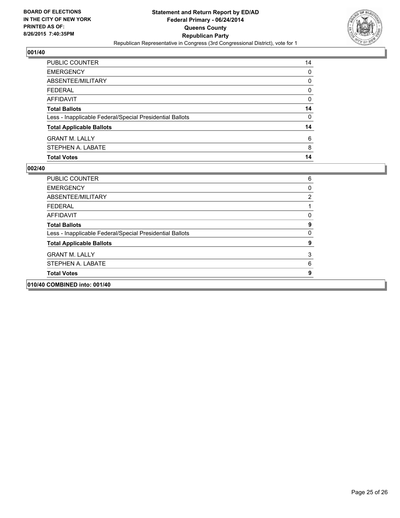

| PUBLIC COUNTER                                           | 14 |
|----------------------------------------------------------|----|
| <b>EMERGENCY</b>                                         | 0  |
| ABSENTEE/MILITARY                                        | 0  |
| <b>FEDERAL</b>                                           | 0  |
| <b>AFFIDAVIT</b>                                         | 0  |
| <b>Total Ballots</b>                                     | 14 |
| Less - Inapplicable Federal/Special Presidential Ballots | 0  |
| <b>Total Applicable Ballots</b>                          | 14 |
| <b>GRANT M. LALLY</b>                                    | 6  |
| STEPHEN A. LABATE                                        | 8  |
| <b>Total Votes</b>                                       | 14 |

| <b>PUBLIC COUNTER</b>                                    | 6 |
|----------------------------------------------------------|---|
| <b>EMERGENCY</b>                                         | 0 |
| ABSENTEE/MILITARY                                        | 2 |
| FEDERAL                                                  |   |
| <b>AFFIDAVIT</b>                                         | 0 |
| <b>Total Ballots</b>                                     | 9 |
| Less - Inapplicable Federal/Special Presidential Ballots | 0 |
| <b>Total Applicable Ballots</b>                          | 9 |
| <b>GRANT M. LALLY</b>                                    | 3 |
| STEPHEN A. LABATE                                        | 6 |
| <b>Total Votes</b>                                       | 9 |